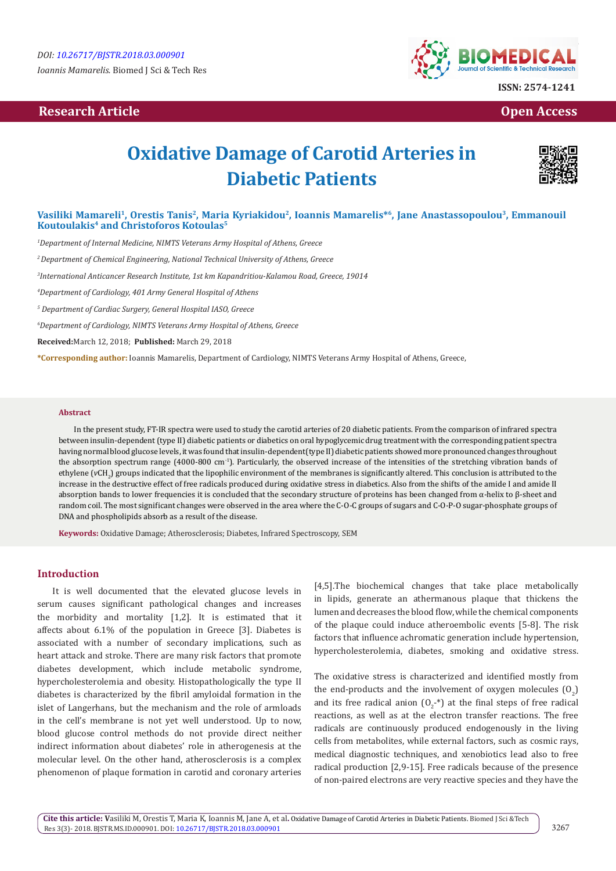*Ioannis Mamarelis.* Biomed J Sci & Tech Res

# **Research Article Open Access Contract Article Open Access Open Access Open Access**



# **Oxidative Damage of Carotid Arteries in Diabetic Patients**



# Vasiliki Mamareli<sup>1</sup>, Orestis Tanis<sup>2</sup>, Maria Kyriakidou<sup>2</sup>, Ioannis Mamarelis<sup>\*6</sup>, Jane Anastassopoulou<sup>3</sup>, Emmanouil **Koutoulakis4 and Christoforos Kotoulas5**

*1 Department of Internal Medicine, NIMTS Veterans Army Hospital of Athens, Greece*

*2 Department of Chemical Engineering, National Technical University of Athens, Greece*

*3 International Anticancer Research Institute, 1st km Kapandritiou-Kalamou Road, Greece, 19014*

*4 Department of Cardiology, 401 Army General Hospital of Athens*

*5 Department of Cardiac Surgery, General Hospital IASO, Greece*

*6 Department of Cardiology, NIMTS Veterans Army Hospital of Athens, Greece*

**Received:**March 12, 2018; **Published:** March 29, 2018

**\*Corresponding author:** Ioannis Mamarelis, Department of Cardiology, NIMTS Veterans Army Hospital of Athens, Greece,

#### **Abstract**

In the present study, FT-IR spectra were used to study the carotid arteries of 20 diabetic patients. From the comparison of infrared spectra between insulin-dependent (type II) diabetic patients or diabetics on oral hypoglycemic drug treatment with the corresponding patient spectra having normal blood glucose levels, it was found that insulin-dependent(type II) diabetic patients showed more pronounced changes throughout the absorption spectrum range (4000-800 cm-1). Particularly, the observed increase of the intensities of the stretching vibration bands of ethylene (vCH<sub>2</sub>) groups indicated that the lipophilic environment of the membranes is significantly altered. This conclusion is attributed to the increase in the destructive effect of free radicals produced during oxidative stress in diabetics. Also from the shifts of the amide I and amide II absorption bands to lower frequencies it is concluded that the secondary structure of proteins has been changed from α-helix to β-sheet and random coil. The most significant changes were observed in the area where the C-O-C groups of sugars and C-O-P-O sugar-phosphate groups of DNA and phospholipids absorb as a result of the disease.

**Keywords:** Oxidative Damage; Atherosclerosis; Diabetes, Infrared Spectroscopy, SEM

# **Introduction**

It is well documented that the elevated glucose levels in serum causes significant pathological changes and increases the morbidity and mortality [1,2]. It is estimated that it affects about 6.1% of the population in Greece [3]. Diabetes is associated with a number of secondary implications, such as heart attack and stroke. There are many risk factors that promote diabetes development, which include metabolic syndrome, hypercholesterolemia and obesity. Histopathologically the type II diabetes is characterized by the fibril amyloidal formation in the islet of Langerhans, but the mechanism and the role of armloads in the cell's membrane is not yet well understood. Up to now, blood glucose control methods do not provide direct neither indirect information about diabetes' role in atherogenesis at the molecular level. On the other hand, atherosclerosis is a complex phenomenon of plaque formation in carotid and coronary arteries

[4,5].The biochemical changes that take place metabolically in lipids, generate an athermanous plaque that thickens the lumen and decreases the blood flow, while the chemical components of the plaque could induce atheroembolic events [5-8]. The risk factors that influence achromatic generation include hypertension, hypercholesterolemia, diabetes, smoking and oxidative stress.

The oxidative stress is characterized and identified mostly from the end-products and the involvement of oxygen molecules  $(0<sub>2</sub>)$ and its free radical anion  $(\mathsf{O}_{2}^{-*})$  at the final steps of free radical reactions, as well as at the electron transfer reactions. The free radicals are continuously produced endogenously in the living cells from metabolites, while external factors, such as cosmic rays, medical diagnostic techniques, and xenobiotics lead also to free radical production [2,9-15]. Free radicals because of the presence of non-paired electrons are very reactive species and they have the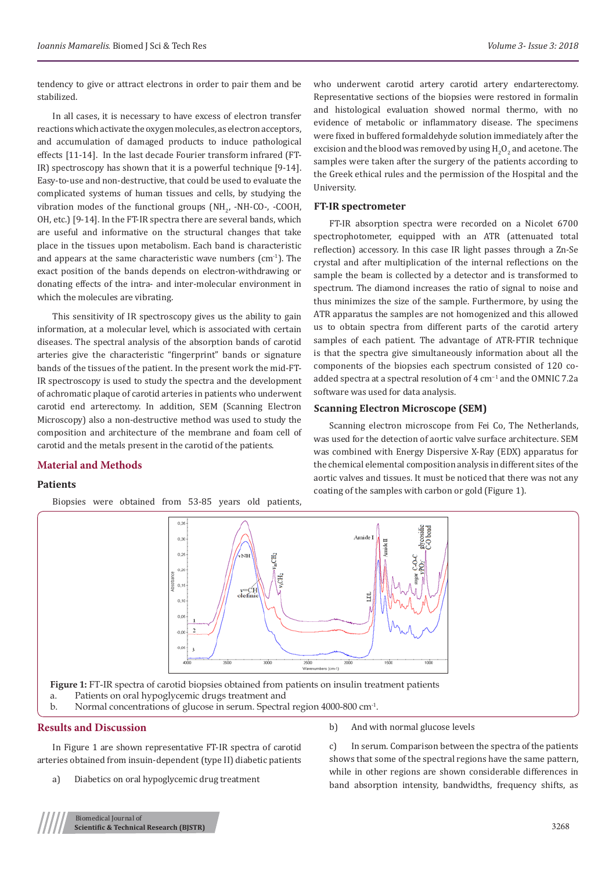tendency to give or attract electrons in order to pair them and be stabilized.

In all cases, it is necessary to have excess of electron transfer reactions which activate the oxygen molecules, as electron acceptors, and accumulation of damaged products to induce pathological effects [11-14]. In the last decade Fourier transform infrared (FT-IR) spectroscopy has shown that it is a powerful technique [9-14]. Easy-to-use and non-destructive, that could be used to evaluate the complicated systems of human tissues and cells, by studying the vibration modes of the functional groups  $(M_{22})$  -NH-CO-, -COOH, OH, etc.) [9-14]. In the FT-IR spectra there are several bands, which are useful and informative on the structural changes that take place in the tissues upon metabolism. Each band is characteristic and appears at the same characteristic wave numbers  $\text{cm}^{\text{-1}}$ ). The exact position of the bands depends on electron-withdrawing or donating effects of the intra- and inter-molecular environment in which the molecules are vibrating.

This sensitivity of IR spectroscopy gives us the ability to gain information, at a molecular level, which is associated with certain diseases. The spectral analysis of the absorption bands of carotid arteries give the characteristic "fingerprint" bands or signature bands of the tissues of the patient. In the present work the mid-FT-IR spectroscopy is used to study the spectra and the development of achromatic plaque of carotid arteries in patients who underwent carotid end arterectomy. In addition, SEM (Scanning Electron Microscopy) also a non-destructive method was used to study the composition and architecture of the membrane and foam cell of carotid and the metals present in the carotid of the patients.

# **Material and Methods**

# **Patients**

Biopsies were obtained from 53-85 years old patients,

who underwent carotid artery carotid artery endarterectomy. Representative sections of the biopsies were restored in formalin and histological evaluation showed normal thermo, with no evidence of metabolic or inflammatory disease. The specimens were fixed in buffered formaldehyde solution immediately after the excision and the blood was removed by using  $\mathrm{H_2O_2}$  and acetone. The samples were taken after the surgery of the patients according to the Greek ethical rules and the permission of the Hospital and the University.

#### **FT-IR spectrometer**

FT-IR absorption spectra were recorded on a Nicolet 6700 spectrophotometer, equipped with an ATR (attenuated total reflection) accessory. In this case IR light passes through a Zn-Se crystal and after multiplication of the internal reflections on the sample the beam is collected by a detector and is transformed to spectrum. The diamond increases the ratio of signal to noise and thus minimizes the size of the sample. Furthermore, by using the ATR apparatus the samples are not homogenized and this allowed us to obtain spectra from different parts of the carotid artery samples of each patient. The advantage of ATR-FTIR technique is that the spectra give simultaneously information about all the components of the biopsies each spectrum consisted of 120 coadded spectra at a spectral resolution of 4 cm−1 and the OMNIC 7.2a software was used for data analysis.

#### **Scanning Electron Microscope (SEM)**

Scanning electron microscope from Fei Co, The Netherlands, was used for the detection of aortic valve surface architecture. SEM was combined with Energy Dispersive X-Ray (EDX) apparatus for the chemical elemental composition analysis in different sites of the aortic valves and tissues. It must be noticed that there was not any coating of the samples with carbon or gold (Figure 1).



# **Results and Discussion**

In Figure 1 are shown representative FT-IR spectra of carotid arteries obtained from insuin-dependent (type II) diabetic patients

a) Diabetics on oral hypoglycemic drug treatment

b) And with normal glucose levels

c) In serum. Comparison between the spectra of the patients shows that some of the spectral regions have the same pattern, while in other regions are shown considerable differences in band absorption intensity, bandwidths, frequency shifts, as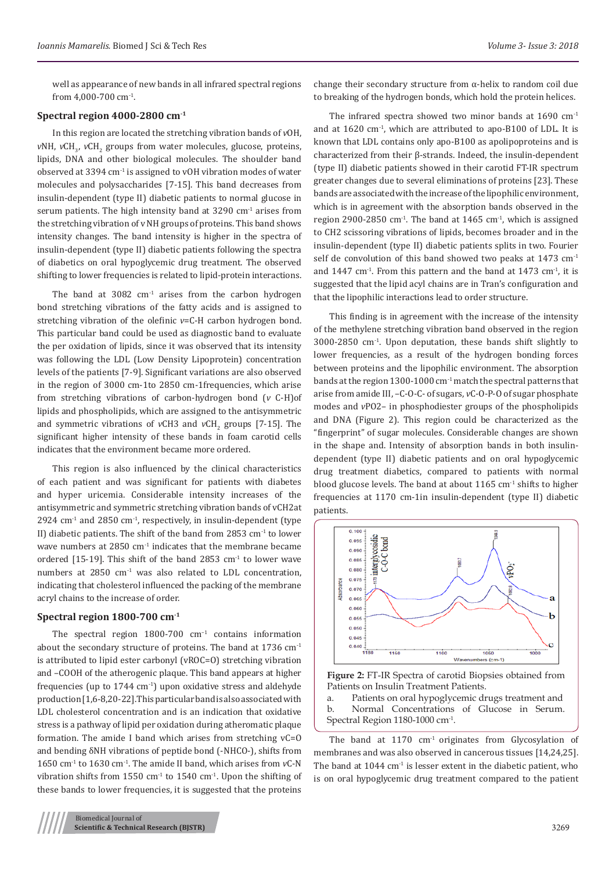well as appearance of new bands in all infrared spectral regions from 4,000-700 cm-1.

### **Spectral region 4000-2800 cm-1**

In this region are located the stretching vibration bands of *v*OH, *vNH*, *vCH*<sub>3</sub>, *vCH*<sub>2</sub> groups from water molecules, glucose, proteins, lipids, DNA and other biological molecules. The shoulder band observed at 3394 cm-1 is assigned to vOH vibration modes of water molecules and polysaccharides [7-15]. This band decreases from insulin-dependent (type II) diabetic patients to normal glucose in serum patients. The high intensity band at  $3290 \text{ cm}^{-1}$  arises from the stretching vibration of v NH groups of proteins. This band shows intensity changes. The band intensity is higher in the spectra of insulin-dependent (type II) diabetic patients following the spectra of diabetics on oral hypoglycemic drug treatment. The observed shifting to lower frequencies is related to lipid-protein interactions.

The band at 3082  $cm<sup>-1</sup>$  arises from the carbon hydrogen bond stretching vibrations of the fatty acids and is assigned to stretching vibration of the olefinic *v*=C-H carbon hydrogen bond. This particular band could be used as diagnostic band to evaluate the per oxidation of lipids, since it was observed that its intensity was following the LDL (Low Density Lipoprotein) concentration levels of the patients [7-9]. Significant variations are also observed in the region of 3000 cm-1to 2850 cm-1frequencies, which arise from stretching vibrations of carbon-hydrogen bond (*v* C-H)of lipids and phospholipids, which are assigned to the antisymmetric and symmetric vibrations of  $vCH3$  and  $vCH<sub>2</sub>$  groups [7-15]. The significant higher intensity of these bands in foam carotid cells indicates that the environment became more ordered.

This region is also influenced by the clinical characteristics of each patient and was significant for patients with diabetes and hyper uricemia. Considerable intensity increases of the antisymmetric and symmetric stretching vibration bands of vCH2at 2924  $cm<sup>-1</sup>$  and 2850  $cm<sup>-1</sup>$ , respectively, in insulin-dependent (type II) diabetic patients. The shift of the band from 2853  $cm<sup>-1</sup>$  to lower wave numbers at 2850 cm-1 indicates that the membrane became ordered [15-19]. This shift of the band 2853  $cm<sup>-1</sup>$  to lower wave numbers at  $2850 \text{ cm}^{-1}$  was also related to LDL concentration, indicating that cholesterol influenced the packing of the membrane acryl chains to the increase of order.

# **Spectral region 1800-700 cm-1**

The spectral region  $1800-700$  cm<sup>-1</sup> contains information about the secondary structure of proteins. The band at 1736 cm-1 is attributed to lipid ester carbonyl (vROC=O) stretching vibration and –COOH of the atherogenic plaque. This band appears at higher frequencies (up to  $1744 \text{ cm}^{-1}$ ) upon oxidative stress and aldehyde production [1,6-8,20-22].This particular band is also associated with LDL cholesterol concentration and is an indication that oxidative stress is a pathway of lipid per oxidation during atheromatic plaque formation. The amide I band which arises from stretching vC=O and bending δNH vibrations of peptide bond (-NHCO-), shifts from 1650 cm-1 to 1630 cm-1. The amide II band, which arises from *v*C-N vibration shifts from  $1550 \text{ cm}^{-1}$  to  $1540 \text{ cm}^{-1}$ . Upon the shifting of these bands to lower frequencies, it is suggested that the proteins

The infrared spectra showed two minor bands at  $1690 \text{ cm}^{-1}$ and at 1620 cm-1, which are attributed to apo-B100 of LDL. It is known that LDL contains only apo-B100 as apolipoproteins and is characterized from their β-strands. Indeed, the insulin-dependent (type II) diabetic patients showed in their carotid FT-IR spectrum greater changes due to several eliminations of proteins [23]. These bands are associated with the increase of the lipophilic environment, which is in agreement with the absorption bands observed in the region 2900-2850 cm<sup>-1</sup>. The band at 1465 cm<sup>-1</sup>, which is assigned to CH2 scissoring vibrations of lipids, becomes broader and in the insulin-dependent (type II) diabetic patients splits in two. Fourier self de convolution of this band showed two peaks at  $1473 \text{ cm}^{-1}$ and  $1447 \text{ cm}^{-1}$ . From this pattern and the band at  $1473 \text{ cm}^{-1}$ , it is suggested that the lipid acyl chains are in Tran's configuration and that the lipophilic interactions lead to order structure.

This finding is in agreement with the increase of the intensity of the methylene stretching vibration band observed in the region 3000-2850 cm-1. Upon deputation, these bands shift slightly to lower frequencies, as a result of the hydrogen bonding forces between proteins and the lipophilic environment. The absorption bands at the region 1300-1000 cm $^{-1}$  match the spectral patterns that arise from amide III, –C-O-C- of sugars, *v*C-O-P-O of sugar phosphate modes and *v*PO2– in phosphodiester groups of the phospholipids and DNA (Figure 2). This region could be characterized as the "fingerprint" of sugar molecules. Considerable changes are shown in the shape and. Intensity of absorption bands in both insulindependent (type II) diabetic patients and on oral hypoglycemic drug treatment diabetics, compared to patients with normal blood glucose levels. The band at about  $1165 \text{ cm}^{-1}$  shifts to higher frequencies at 1170 cm-1in insulin-dependent (type II) diabetic patients.





a. Patients on oral hypoglycemic drugs treatment and b. Normal Concentrations of Glucose in Serum. Spectral Region 1180-1000 cm-1.

The band at  $1170 \text{ cm}^{-1}$  originates from Glycosylation of membranes and was also observed in cancerous tissues [14,24,25]. The band at  $1044 \text{ cm}^{-1}$  is lesser extent in the diabetic patient, who is on oral hypoglycemic drug treatment compared to the patient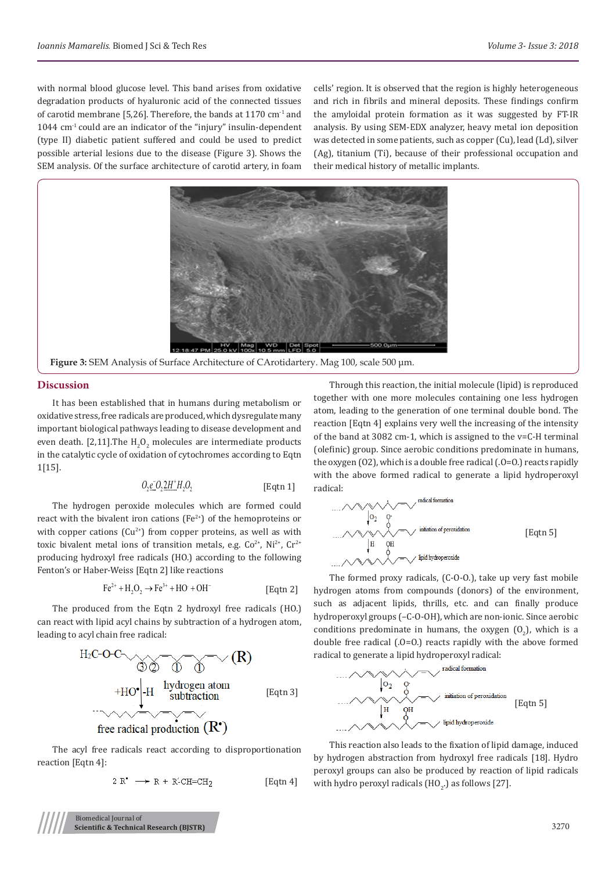with normal blood glucose level. This band arises from oxidative degradation products of hyaluronic acid of the connected tissues of carotid membrane [5,26]. Therefore, the bands at 1170  $cm<sup>-1</sup>$  and 1044 cm-1 could are an indicator of the "injury" insulin-dependent (type II) diabetic patient suffered and could be used to predict possible arterial lesions due to the disease (Figure 3). Shows the SEM analysis. Of the surface architecture of carotid artery, in foam

cells' region. It is observed that the region is highly heterogeneous and rich in fibrils and mineral deposits. These findings confirm the amyloidal protein formation as it was suggested by FT-IR analysis. By using SEM-EDX analyzer, heavy metal ion deposition was detected in some patients, such as copper (Cu), lead (Ld), silver (Ag), titanium (Ti), because of their professional occupation and their medical history of metallic implants.



**Figure 3:** SEM Analysis of Surface Architecture of CArotidartery. Mag 100, scale 500 μm.

# **Discussion**

It has been established that in humans during metabolism or oxidative stress, free radicals are produced, which dysregulate many important biological pathways leading to disease development and even death. [2,11].The  $H_2O_2$  molecules are intermediate products in the catalytic cycle of oxidation of cytochromes according to Eqtn 1[15].

$$
O_2 \underline{e}_2 O_2 \underline{2H}^+ H_2 O_2 \qquad \qquad \text{[Eqtn 1]}
$$

The hydrogen peroxide molecules which are formed could react with the bivalent iron cations  $(Fe^{2+})$  of the hemoproteins or with copper cations  $(Cu^{2+})$  from copper proteins, as well as with toxic bivalent metal ions of transition metals, e.g.  $Co^{2+}$ , Ni<sup>2+</sup>, Cr<sup>2+</sup> producing hydroxyl free radicals (HO.) according to the following Fenton's or Haber-Weiss [Eqtn 2] like reactions

$$
\text{Fe}^{2+} + \text{H}_2\text{O}_2 \rightarrow \text{Fe}^{3+} + \text{HO} + \text{OH}^-
$$
 [Eqtn 2]

The produced from the Eqtn 2 hydroxyl free radicals (HO.) can react with lipid acyl chains by subtraction of a hydrogen atom, leading to acyl chain free radical:



The acyl free radicals react according to disproportionation reaction [Eqtn 4]:

$$
2 R \longrightarrow R + R-CH=CH_2
$$
 [Eqtn 4]

Through this reaction, the initial molecule (lipid) is reproduced together with one more molecules containing one less hydrogen atom, leading to the generation of one terminal double bond. The reaction [Eqtn 4] explains very well the increasing of the intensity of the band at 3082 cm-1, which is assigned to the v=C-H terminal (olefinic) group. Since aerobic conditions predominate in humans, the oxygen (O2), which is a double free radical (.O=O.) reacts rapidly with the above formed radical to generate a lipid hydroperoxyl radical:

[Eqtn 5]

The formed proxy radicals, (C-O-O.), take up very fast mobile hydrogen atoms from compounds (donors) of the environment, such as adjacent lipids, thrills, etc. and can finally produce hydroperoxyl groups (–C-O-OH), which are non-ionic. Since aerobic conditions predominate in humans, the oxygen  $(0<sub>2</sub>)$ , which is a double free radical (.O=O.) reacts rapidly with the above formed radical to generate a lipid hydroperoxyl radical:



This reaction also leads to the fixation of lipid damage, induced by hydrogen abstraction from hydroxyl free radicals [18]. Hydro peroxyl groups can also be produced by reaction of lipid radicals with hydro peroxyl radicals  $(HO<sub>2</sub>)$  as follows [27].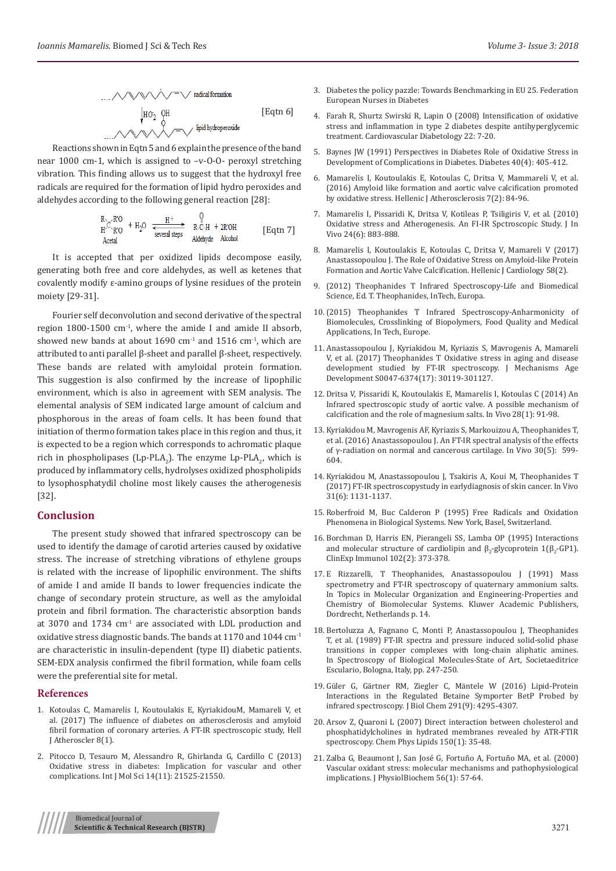

Reactions shown in Eqtn 5 and 6 explain the presence of the band near 1000 cm-1, which is assigned to –v-O-O- peroxyl stretching vibration. This finding allows us to suggest that the hydroxyl free radicals are required for the formation of lipid hydro peroxides and aldehydes according to the following general reaction [28]:

$$
\begin{array}{ccc}\nR \setminus C \setminus R'O & + H_2O & \xrightarrow{\text{H}^+} & R \setminus C \setminus H & + 2R'OH \\
\text{Actal} & & \xrightarrow{\text{several steps}} & \text{Aldehyde} & \text{Alcohol} & \text{[Eqtn 7]}\\
\end{array}
$$

It is accepted that per oxidized lipids decompose easily, generating both free and core aldehydes, as well as ketenes that covalently modify ε-amino groups of lysine residues of the protein moiety [29-31].

Fourier self deconvolution and second derivative of the spectral region  $1800-1500$  cm<sup>-1</sup>, where the amide I and amide II absorb, showed new bands at about  $1690 \text{ cm}^{-1}$  and  $1516 \text{ cm}^{-1}$ , which are attributed to anti parallel β-sheet and parallel β-sheet, respectively. These bands are related with amyloidal protein formation. This suggestion is also confirmed by the increase of lipophilic environment, which is also in agreement with SEM analysis. The elemental analysis of SEM indicated large amount of calcium and phosphorous in the areas of foam cells. It has been found that initiation of thermo formation takes place in this region and thus, it is expected to be a region which corresponds to achromatic plaque rich in phospholipases (Lp-PLA<sub>2</sub>). The enzyme Lp-PLA<sub>2</sub>, which is produced by inflammatory cells, hydrolyses oxidized phospholipids to lysophosphatydil choline most likely causes the atherogenesis [32].

#### **Conclusion**

The present study showed that infrared spectroscopy can be used to identify the damage of carotid arteries caused by oxidative stress. The increase of stretching vibrations of ethylene groups is related with the increase of lipophilic environment. The shifts of amide I and amide II bands to lower frequencies indicate the change of secondary protein structure, as well as the amyloidal protein and fibril formation. The characteristic absorption bands at  $3070$  and  $1734$  cm<sup>-1</sup> are associated with LDL production and oxidative stress diagnostic bands. The bands at 1170 and 1044 cm-1 are characteristic in insulin-dependent (type II) diabetic patients. SEM-EDX analysis confirmed the fibril formation, while foam cells were the preferential site for metal.

## **References**

- 1. [Kotoulas C, Mamarelis I, Koutoulakis E, KyriakidouM, Mamareli V, et](http://en.atherosclerosis.gr/influence-diabetes-atherosclerosis-amyloid-fibril-formation-coronary-arteries-ft-ir-spectroscopic-study/)  al. (2017[\) The influence of diabetes on atherosclerosis and amyloid](http://en.atherosclerosis.gr/influence-diabetes-atherosclerosis-amyloid-fibril-formation-coronary-arteries-ft-ir-spectroscopic-study/)  [fibril formation of coronary arteries.](http://en.atherosclerosis.gr/influence-diabetes-atherosclerosis-amyloid-fibril-formation-coronary-arteries-ft-ir-spectroscopic-study/) A FT-IR spectroscopic study, Hell [J Atheroscler 8\(1\).](http://en.atherosclerosis.gr/influence-diabetes-atherosclerosis-amyloid-fibril-formation-coronary-arteries-ft-ir-spectroscopic-study/)
- 2. [Pitocco D, Tesauro M, Alessandro R, Ghirlanda G, Cardillo C \(2013\)](https://www.ncbi.nlm.nih.gov/pubmed/24177571)  [Oxidative stress in diabetes: Implication for vascular and other](https://www.ncbi.nlm.nih.gov/pubmed/24177571)  [complications. Int J Mol Sci 14\(11\): 21525-21550.](https://www.ncbi.nlm.nih.gov/pubmed/24177571)
- 3. Diabetes the policy pazzle: Towards Benchmarking in EU 25. Federation European Nurses in Diabetes
- 4. [Farah R, Shurtz Swirski R, Lapin O \(2008](https://cardiab.biomedcentral.com/articles/10.1186/1475-2840-7-20)) Intensification of oxidative [stress and inflammation in type 2 diabetes despite antihyperglycemic](https://cardiab.biomedcentral.com/articles/10.1186/1475-2840-7-20) [treatment. Cardiovascular Diabetology 22: 7-20.](https://cardiab.biomedcentral.com/articles/10.1186/1475-2840-7-20)
- 5. [Baynes JW \(1991\) Perspectives in Diabetes Role of Oxidative Stress in](https://www.ncbi.nlm.nih.gov/pubmed/2010041) [Development of Complications in Diabetes. Diabetes 40\(4\): 405-412.](https://www.ncbi.nlm.nih.gov/pubmed/2010041)
- 6. [Mamarelis I, Koutoulakis E, Kotoulas C, Dritsa V, Mammareli V, et al.](http://www.atherosclerosis.gr/2788-2/) (2016[\) Amyloid like formation and aortic valve calcification promoted](http://www.atherosclerosis.gr/2788-2/) [by oxidative stress. Hellenic J Atherosclerosis 7\(2\):](http://www.atherosclerosis.gr/2788-2/) 84-96.
- 7. [Mamarelis I, Pissaridi K, Dritsa V, Kotileas P, Tsiligiris V, et al. \(2010\)](http://iv.iiarjournals.org/content/24/6/883.long) [Oxidative stress and Atherogenesis. An FI-IR Spctroscopic Study. J In](http://iv.iiarjournals.org/content/24/6/883.long) [Vivo 24\(6\): 883-888.](http://iv.iiarjournals.org/content/24/6/883.long)
- 8. [Mamarelis I, Koutoulakis E, Kotoulas C, Dritsa V, Mamareli V \(2017\)](https://www.researchgate.net/publication/316834522_The_Role_of_Oxidative_Stress_on_Amyloid-like_Protein_Formation_and_Aortic_Valve_Calcification) [Anastassopoulou J. The Role of Oxidative Stress on Amyloid-like Protein](https://www.researchgate.net/publication/316834522_The_Role_of_Oxidative_Stress_on_Amyloid-like_Protein_Formation_and_Aortic_Valve_Calcification) [Formation and Aortic Valve Calcification.](https://www.researchgate.net/publication/316834522_The_Role_of_Oxidative_Stress_on_Amyloid-like_Protein_Formation_and_Aortic_Valve_Calcification) Hellenic J Cardiology 58(2).
- 9. (2012) Theophanides T Infrared Spectroscopy-Life and Biomedical Science, Ed. T. Theophanides, InTech, Europa.
- 10.(2015) Theophanides T Infrared Spectroscopy-Anharmonicity of Biomolecules, Crosslinking of Biopolymers, Food Quality and Medical Applications, In Tech, Europe.
- 11. [Anastassopoulou J, Kyriakidou M, Kyriazis S, Mavrogenis A, Mamareli](https://www.ncbi.nlm.nih.gov/pubmed/29113732) [V, et al. \(2017\) Theophanides T Oxidative stress in aging and disease](https://www.ncbi.nlm.nih.gov/pubmed/29113732) [development studied by FT-IR spectroscopy. J Mechanisms Age](https://www.ncbi.nlm.nih.gov/pubmed/29113732) [Development S0047-6374\(17\): 30119-301127.](https://www.ncbi.nlm.nih.gov/pubmed/29113732)
- 12. [Dritsa V, Pissaridi K, Koutoulakis E, Mamarelis I, Kotoulas C](https://www.ncbi.nlm.nih.gov/pubmed/24425841) (2014) An [Infrared spectroscopic study of aortic valve. A possible mechanism of](https://www.ncbi.nlm.nih.gov/pubmed/24425841) [calcification and the role of magnesium salts.](https://www.ncbi.nlm.nih.gov/pubmed/24425841) In Vivo 28(1): 91-98.
- 13. [Kyriakidou M, Mavrogenis AF, Kyriazis S, Markouizou A, Theophanides T,](https://www.ncbi.nlm.nih.gov/pubmed/27566078) [et al. \(2016\) Anastassopoulou J. An FT-IR spectral analysis of the effects](https://www.ncbi.nlm.nih.gov/pubmed/27566078) [of γ-radiation on normal and cancerous cartilage. Ιn Vivo 30\(5\): 599-](https://www.ncbi.nlm.nih.gov/pubmed/27566078) [604.](https://www.ncbi.nlm.nih.gov/pubmed/27566078)
- 14. [Kyriakidou M, Anastassopoulou J, Tsakiris A, Koui M, Theophanides T](https://www.ncbi.nlm.nih.gov/pubmed/29102935) [\(2017\) FT-IR spectroscopystudy in earlydiagnosis of skin cancer. In Vivo](https://www.ncbi.nlm.nih.gov/pubmed/29102935) 31(6): [1131-1137.](https://www.ncbi.nlm.nih.gov/pubmed/29102935)
- 15. Roberfroid M, Buc Calderon P (1995) Free Radicals and Oxidation Phenomena in Biological Systems. New York, Basel, Switzerland.
- 16. [Borchman D, Harris EN, Pierangeli SS, Lamba OP \(1995\) Interactions](https://www.ncbi.nlm.nih.gov/pubmed/7586693) and molecular structure of cardiolipin and  $\beta_2$ -glycoprotein  $I(\beta_2$ -GP1). [ClinExp Immunol 102\(2\): 373-378.](https://www.ncbi.nlm.nih.gov/pubmed/7586693)
- 17. E Rizzarelli, T Theophanides, Anastassopoulou J (1991) Mass spectrometry and FT-IR spectroscopy of quaternary ammonium salts. In Topics in Molecular Organization and Engineering-Properties and Chemistry of Biomolecular Systems. Kluwer Academic Publishers, Dordrecht, Netherlands p. 14.
- 18. Bertoluzza A, Fagnano C, Monti P, Anastassopoulou J, Theophanides T, et al. (1989) FT-IR spectra and pressure induced solid-solid phase transitions in copper complexes with long-chain aliphatic amines. In Spectroscopy of Biological Molecules-State of Art, Societaeditrice Esculario, Bologna, Italy, pp. 247-250.
- 19. [Güler G, Gärtner RM, Ziegler C, Mä](https://www.ncbi.nlm.nih.gov/pubmed/26592930)ntele W (2016) Lipid-Protein [Interactions in the Regulated Betaine Symporter BetP Probed by](https://www.ncbi.nlm.nih.gov/pubmed/26592930) [infrared spectroscopy. J Biol Chem 291\(9\): 4295-4307.](https://www.ncbi.nlm.nih.gov/pubmed/26592930)
- 20. Arsov Z, Quaroni L ([2007\) Direct interaction between cholesterol and](https://www.ncbi.nlm.nih.gov/pubmed/17662974) [phosphatidylcholines in hydrated membranes revealed by ATR-FTIR](https://www.ncbi.nlm.nih.gov/pubmed/17662974) [spectroscopy. Chem Phys Lipids 150\(1\): 35-48.](https://www.ncbi.nlm.nih.gov/pubmed/17662974)
- 21. [Zalba G, Beaumont J, San José G, Fortuño A, Fortuño MA, et al. \(2000\)](https://link.springer.com/article/10.1007/BF03179777) [Vascular oxidant stress: molecular mechanisms and pathophysiological](https://link.springer.com/article/10.1007/BF03179777) [implications. J PhysiolBiochem 56\(1\): 57-64.](https://link.springer.com/article/10.1007/BF03179777)